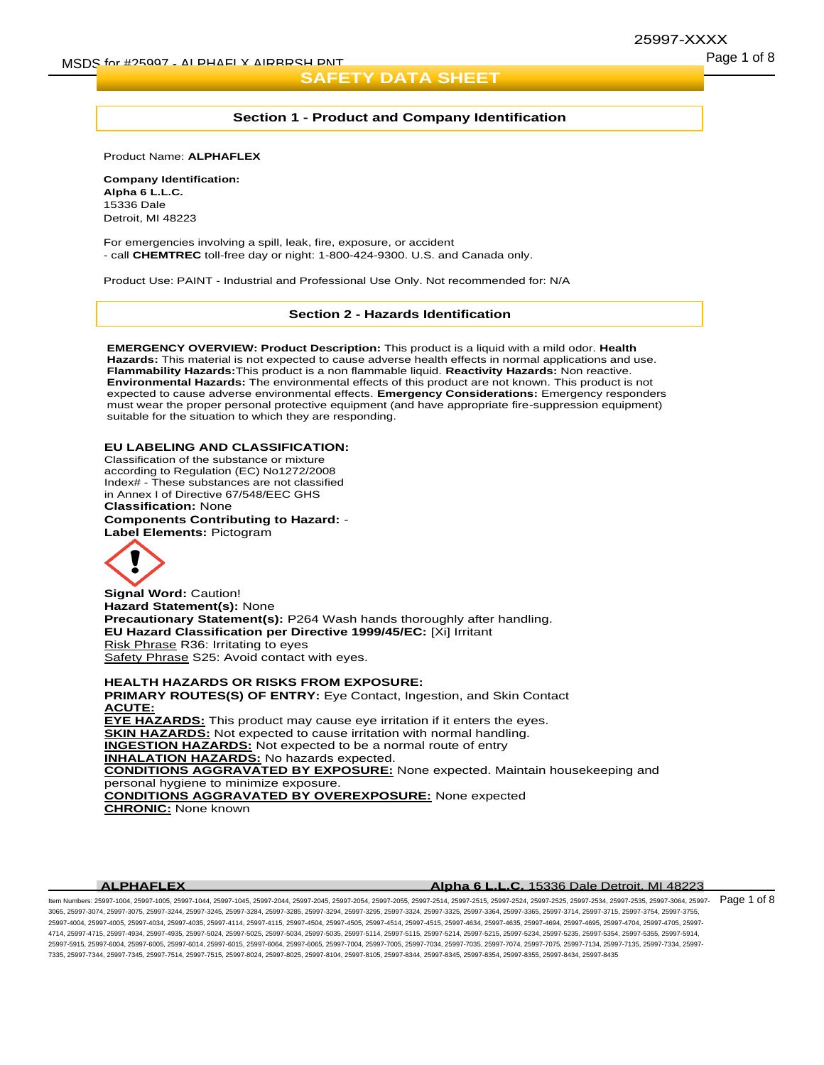### 25997-XXXX

#### **Section 1 - Product and Company Identification**

Product Name: **ALPHAFLEX**

**Company Identification: Alpha 6 L.L.C.** 15336 Dale Detroit, MI 48223

For emergencies involving a spill, leak, fire, exposure, or accident - call **CHEMTREC** toll-free day or night: 1-800-424-9300. U.S. and Canada only.

Product Use: PAINT - Industrial and Professional Use Only. Not recommended for: N/A

#### **Section 2 - Hazards Identification**

**EMERGENCY OVERVIEW: Product Description:** This product is a liquid with a mild odor. **Health Hazards:** This material is not expected to cause adverse health effects in normal applications and use. **Flammability Hazards:**This product is a non flammable liquid. **Reactivity Hazards:** Non reactive. **Environmental Hazards:** The environmental effects of this product are not known. This product is not expected to cause adverse environmental effects. **Emergency Considerations:** Emergency responders must wear the proper personal protective equipment (and have appropriate fire-suppression equipment) suitable for the situation to which they are responding.

#### **EU LABELING AND CLASSIFICATION:**

Classification of the substance or mixture according to Regulation (EC) No1272/2008 Index# - These substances are not classified in Annex I of Directive 67/548/EEC GHS **Classification:** None

**Components Contributing to Hazard:** - **Label Elements:** Pictogram



**Signal Word:** Caution! **Hazard Statement(s):** None **Precautionary Statement(s):** P264 Wash hands thoroughly after handling. **EU Hazard Classification per Directive 1999/45/EC:** [Xi] Irritant Risk Phrase R36: Irritating to eyes Safety Phrase S25: Avoid contact with eyes.

**HEALTH HAZARDS OR RISKS FROM EXPOSURE: PRIMARY ROUTES(S) OF ENTRY:** Eye Contact, Ingestion, and Skin Contact **ACUTE: EYE HAZARDS:** This product may cause eye irritation if it enters the eyes. **SKIN HAZARDS:** Not expected to cause irritation with normal handling. **INGESTION HAZARDS:** Not expected to be a normal route of entry **INHALATION HAZARDS:** No hazards expected. **CONDITIONS AGGRAVATED BY EXPOSURE:** None expected. Maintain housekeeping and personal hygiene to minimize exposure. **CONDITIONS AGGRAVATED BY OVEREXPOSURE:** None expected **CHRONIC:** None known

#### **ALPHAFLEX Alpha 6 L.L.C.** 15336 Dale Detroit, MI 48223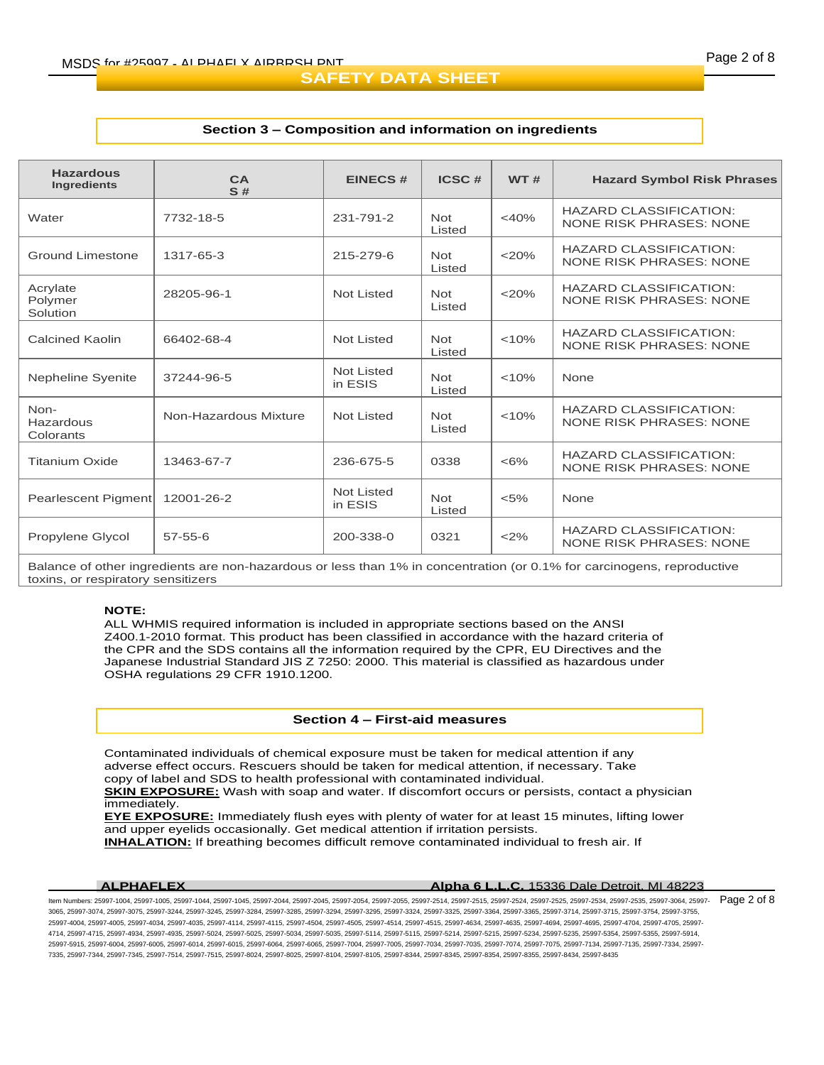#### **Section 3 – Composition and information on ingredients**

| <b>Hazardous</b><br><b>Ingredients</b> | CA<br>S#              | <b>EINECS#</b>        | ICSC#                | <b>WT#</b> | <b>Hazard Symbol Risk Phrases</b>                               |  |
|----------------------------------------|-----------------------|-----------------------|----------------------|------------|-----------------------------------------------------------------|--|
| Water                                  | 7732-18-5             | 231-791-2             | <b>Not</b><br>Listed | $<$ 40%    | <b>HAZARD CLASSIFICATION:</b><br><b>NONE RISK PHRASES: NONE</b> |  |
| Ground Limestone                       | 1317-65-3             | 215-279-6             | <b>Not</b><br>Listed | $<$ 20%    | <b>HAZARD CLASSIFICATION:</b><br><b>NONE RISK PHRASES: NONE</b> |  |
| Acrylate<br>Polymer<br>Solution        | 28205-96-1            | Not Listed            | <b>Not</b><br>Listed | $<$ 20%    | <b>HAZARD CLASSIFICATION:</b><br>NONE RISK PHRASES: NONE        |  |
| Calcined Kaolin                        | 66402-68-4            | Not Listed            | <b>Not</b><br>Listed | < 10%      | <b>HAZARD CLASSIFICATION:</b><br><b>NONE RISK PHRASES: NONE</b> |  |
| Nepheline Syenite                      | 37244-96-5            | Not Listed<br>in ESIS | <b>Not</b><br>Listed | < 10%      | None                                                            |  |
| Non-<br>Hazardous<br>Colorants         | Non-Hazardous Mixture | Not Listed            | <b>Not</b><br>Listed | < 10%      | <b>HAZARD CLASSIFICATION:</b><br>NONE RISK PHRASES: NONE        |  |
| <b>Titanium Oxide</b>                  | 13463-67-7            | 236-675-5             | 0338                 | $<6\%$     | <b>HAZARD CLASSIFICATION:</b><br>NONE RISK PHRASES: NONE        |  |
| Pearlescent Pigment                    | 12001-26-2            | Not Listed<br>in ESIS | <b>Not</b><br>Listed | $< 5\%$    | None                                                            |  |
| Propylene Glycol                       | $57 - 55 - 6$         | 200-338-0             | 0321                 | <2%        | <b>HAZARD CLASSIFICATION:</b><br>NONE RISK PHRASES: NONE        |  |

Balance of other ingredients are non-hazardous or less than 1% in concentration (or 0.1% for carcinogens, reproductive toxins, or respiratory sensitizers

#### **NOTE:**

ALL WHMIS required information is included in appropriate sections based on the ANSI Z400.1-2010 format. This product has been classified in accordance with the hazard criteria of the CPR and the SDS contains all the information required by the CPR, EU Directives and the Japanese Industrial Standard JIS Z 7250: 2000. This material is classified as hazardous under OSHA regulations 29 CFR 1910.1200.

#### **Section 4 – First-aid measures**

Contaminated individuals of chemical exposure must be taken for medical attention if any adverse effect occurs. Rescuers should be taken for medical attention, if necessary. Take copy of label and SDS to health professional with contaminated individual.

**SKIN EXPOSURE:** Wash with soap and water. If discomfort occurs or persists, contact a physician immediately.

**EYE EXPOSURE:** Immediately flush eyes with plenty of water for at least 15 minutes, lifting lower and upper eyelids occasionally. Get medical attention if irritation persists.

**INHALATION:** If breathing becomes difficult remove contaminated individual to fresh air. If

#### **ALPHAFLEX Alpha 6 L.L.C.** 15336 Dale Detroit, MI 48223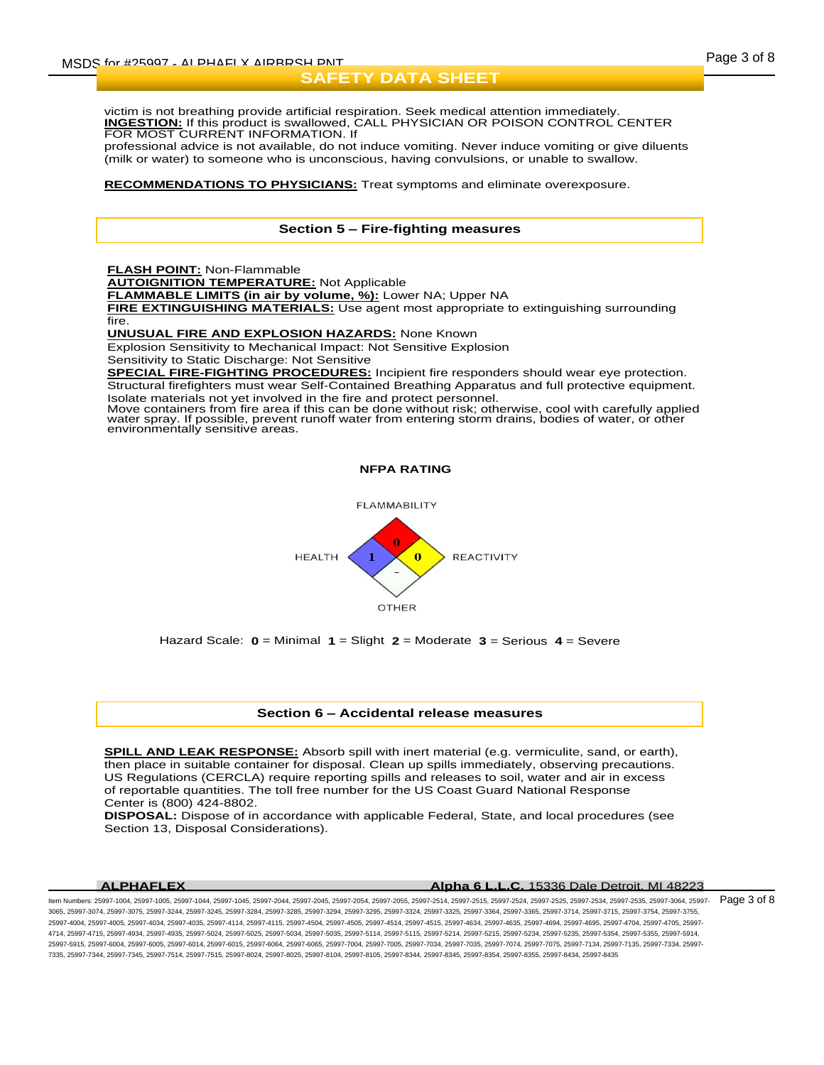victim is not breathing provide artificial respiration. Seek medical attention immediately. **INGESTION:** If this product is swallowed, CALL PHYSICIAN OR POISON CONTROL CENTER FOR MOST CURRENT INFORMATION. If

professional advice is not available, do not induce vomiting. Never induce vomiting or give diluents (milk or water) to someone who is unconscious, having convulsions, or unable to swallow.

#### **RECOMMENDATIONS TO PHYSICIANS:** Treat symptoms and eliminate overexposure.

## **Section 5 – Fire-fighting measures**

**FLASH POINT:** Non-Flammable

**AUTOIGNITION TEMPERATURE:** Not Applicable

**FLAMMABLE LIMITS (in air by volume, %):** Lower NA; Upper NA

**FIRE EXTINGUISHING MATERIALS:** Use agent most appropriate to extinguishing surrounding fire.

**UNUSUAL FIRE AND EXPLOSION HAZARDS:** None Known

Explosion Sensitivity to Mechanical Impact: Not Sensitive Explosion

Sensitivity to Static Discharge: Not Sensitive

**SPECIAL FIRE-FIGHTING PROCEDURES:** Incipient fire responders should wear eye protection. Structural firefighters must wear Self-Contained Breathing Apparatus and full protective equipment. Isolate materials not yet involved in the fire and protect personnel.

Move containers from fire area if this can be done without risk; otherwise, cool with carefully applied water spray. If possible, prevent runoff water from entering storm drains, bodies of water, or other<br>environmentally sensitive areas.

**NFPA RATING**



Hazard Scale: **0** = Minimal **1** = Slight **2** = Moderate **3** = Serious **4** = Severe

#### **Section 6 – Accidental release measures**

**SPILL AND LEAK RESPONSE:** Absorb spill with inert material (e.g. vermiculite, sand, or earth), then place in suitable container for disposal. Clean up spills immediately, observing precautions. US Regulations (CERCLA) require reporting spills and releases to soil, water and air in excess of reportable quantities. The toll free number for the US Coast Guard National Response Center is (800) 424-8802.

**DISPOSAL:** Dispose of in accordance with applicable Federal, State, and local procedures (see Section 13, Disposal Considerations).

#### **ALPHAFLEX Alpha 6 L.L.C.** 15336 Dale Detroit, MI 48223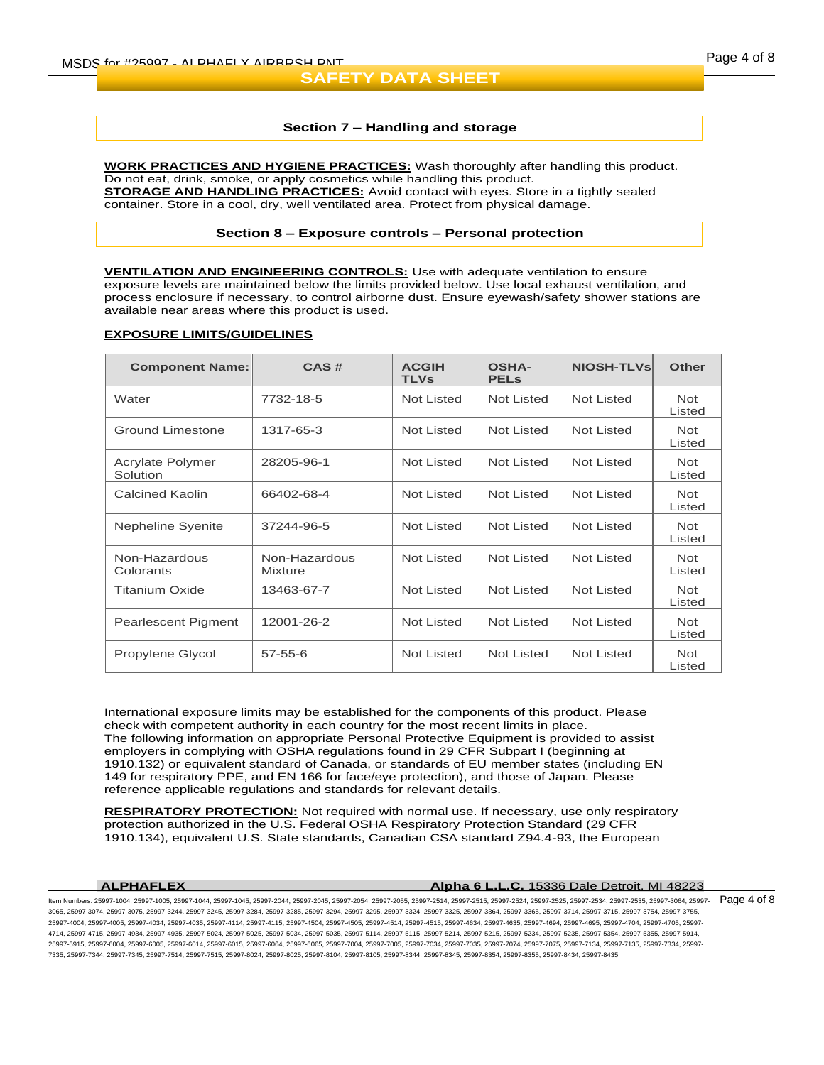#### **Section 7 – Handling and storage**

**WORK PRACTICES AND HYGIENE PRACTICES:** Wash thoroughly after handling this product. Do not eat, drink, smoke, or apply cosmetics while handling this product. **STORAGE AND HANDLING PRACTICES:** Avoid contact with eyes. Store in a tightly sealed container. Store in a cool, dry, well ventilated area. Protect from physical damage.

#### **Section 8 – Exposure controls – Personal protection**

**VENTILATION AND ENGINEERING CONTROLS:** Use with adequate ventilation to ensure exposure levels are maintained below the limits provided below. Use local exhaust ventilation, and process enclosure if necessary, to control airborne dust. Ensure eyewash/safety shower stations are available near areas where this product is used.

#### **EXPOSURE LIMITS/GUIDELINES**

| <b>Component Name:</b>       | CAS#                            | <b>ACGIH</b><br><b>TLVs</b> | <b>OSHA-</b><br><b>PELS</b> | <b>NIOSH-TLVs</b> | <b>Other</b>         |
|------------------------------|---------------------------------|-----------------------------|-----------------------------|-------------------|----------------------|
| Water                        | 7732-18-5                       | Not Listed                  | Not Listed                  | Not Listed        | <b>Not</b><br>Listed |
| <b>Ground Limestone</b>      | 1317-65-3                       | Not Listed                  | <b>Not Listed</b>           | <b>Not Listed</b> | <b>Not</b><br>Listed |
| Acrylate Polymer<br>Solution | 28205-96-1                      | Not Listed                  | <b>Not Listed</b>           | Not Listed        | <b>Not</b><br>Listed |
| <b>Calcined Kaolin</b>       | 66402-68-4                      | Not Listed                  | <b>Not Listed</b>           | <b>Not Listed</b> | <b>Not</b><br>Listed |
| Nepheline Syenite            | 37244-96-5                      | Not Listed                  | Not Listed                  | <b>Not Listed</b> | <b>Not</b><br>Listed |
| Non-Hazardous<br>Colorants   | Non-Hazardous<br><b>Mixture</b> | Not Listed                  | <b>Not Listed</b>           | Not Listed        | <b>Not</b><br>Listed |
| <b>Titanium Oxide</b>        | 13463-67-7                      | Not Listed                  | <b>Not Listed</b>           | <b>Not Listed</b> | <b>Not</b><br>Listed |
| Pearlescent Pigment          | 12001-26-2                      | Not Listed                  | <b>Not Listed</b>           | <b>Not Listed</b> | <b>Not</b><br>Listed |
| Propylene Glycol             | $57 - 55 - 6$                   | <b>Not Listed</b>           | <b>Not Listed</b>           | <b>Not Listed</b> | <b>Not</b><br>Listed |

International exposure limits may be established for the components of this product. Please check with competent authority in each country for the most recent limits in place. The following information on appropriate Personal Protective Equipment is provided to assist employers in complying with OSHA regulations found in 29 CFR Subpart I (beginning at 1910.132) or equivalent standard of Canada, or standards of EU member states (including EN 149 for respiratory PPE, and EN 166 for face/eye protection), and those of Japan. Please reference applicable regulations and standards for relevant details.

**RESPIRATORY PROTECTION:** Not required with normal use. If necessary, use only respiratory protection authorized in the U.S. Federal OSHA Respiratory Protection Standard (29 CFR 1910.134), equivalent U.S. State standards, Canadian CSA standard Z94.4-93, the European

#### **ALPHAFLEX Alpha 6 L.L.C.** 15336 Dale Detroit, MI 48223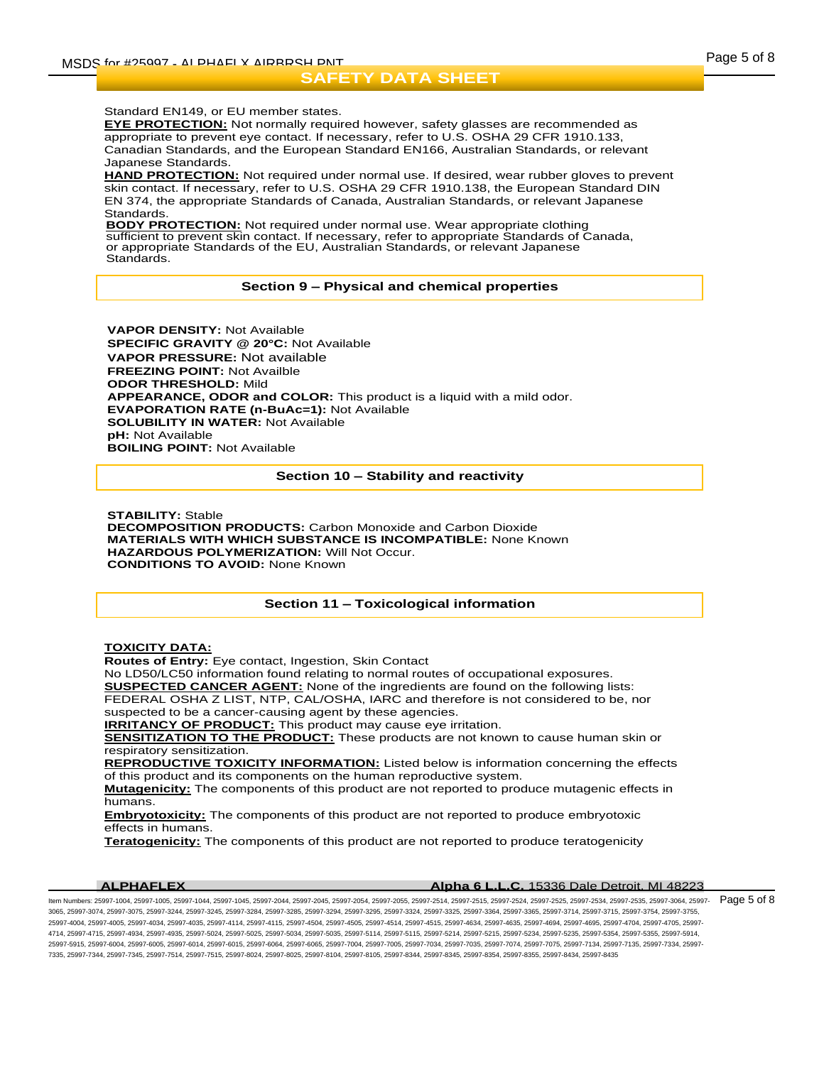#### Standard EN149, or EU member states.

**EYE PROTECTION:** Not normally required however, safety glasses are recommended as appropriate to prevent eye contact. If necessary, refer to U.S. OSHA 29 CFR 1910.133, Canadian Standards, and the European Standard EN166, Australian Standards, or relevant Japanese Standards.

**HAND PROTECTION:** Not required under normal use. If desired, wear rubber gloves to prevent skin contact. If necessary, refer to U.S. OSHA 29 CFR 1910.138, the European Standard DIN EN 374, the appropriate Standards of Canada, Australian Standards, or relevant Japanese **Standards** 

**BODY PROTECTION:** Not required under normal use. Wear appropriate clothing sufficient to prevent skin contact. If necessary, refer to appropriate Standards of Canada, or appropriate Standards of the EU, Australian Standards, or relevant Japanese Standards.

#### **Section 9 – Physical and chemical properties**

**VAPOR DENSITY:** Not Available **SPECIFIC GRAVITY @ 20°C:** Not Available **VAPOR PRESSURE:** Not available **FREEZING POINT:** Not Availble **ODOR THRESHOLD:** Mild **APPEARANCE, ODOR and COLOR:** This product is a liquid with a mild odor. **EVAPORATION RATE (n-BuAc=1):** Not Available **SOLUBILITY IN WATER:** Not Available **pH:** Not Available **BOILING POINT:** Not Available

#### **Section 10 – Stability and reactivity**

**STABILITY:** Stable **DECOMPOSITION PRODUCTS:** Carbon Monoxide and Carbon Dioxide **MATERIALS WITH WHICH SUBSTANCE IS INCOMPATIBLE:** None Known **HAZARDOUS POLYMERIZATION:** Will Not Occur. **CONDITIONS TO AVOID:** None Known

### **Section 11 – Toxicological information**

#### **TOXICITY DATA:**

**Routes of Entry:** Eye contact, Ingestion, Skin Contact

No LD50/LC50 information found relating to normal routes of occupational exposures.

**SUSPECTED CANCER AGENT:** None of the ingredients are found on the following lists:

FEDERAL OSHA Z LIST, NTP, CAL/OSHA, IARC and therefore is not considered to be, nor

suspected to be a cancer-causing agent by these agencies.

**IRRITANCY OF PRODUCT:** This product may cause eye irritation.

**SENSITIZATION TO THE PRODUCT:** These products are not known to cause human skin or respiratory sensitization.

**REPRODUCTIVE TOXICITY INFORMATION:** Listed below is information concerning the effects of this product and its components on the human reproductive system.

**Mutagenicity:** The components of this product are not reported to produce mutagenic effects in humans.

**Embryotoxicity:** The components of this product are not reported to produce embryotoxic effects in humans.

**Teratogenicity:** The components of this product are not reported to produce teratogenicity

| <b>ALPHAFLEX</b> | <b>Alpha 6 L.L.C.</b> 15336 Dale Detroit, MI 48223 |
|------------------|----------------------------------------------------|
|                  |                                                    |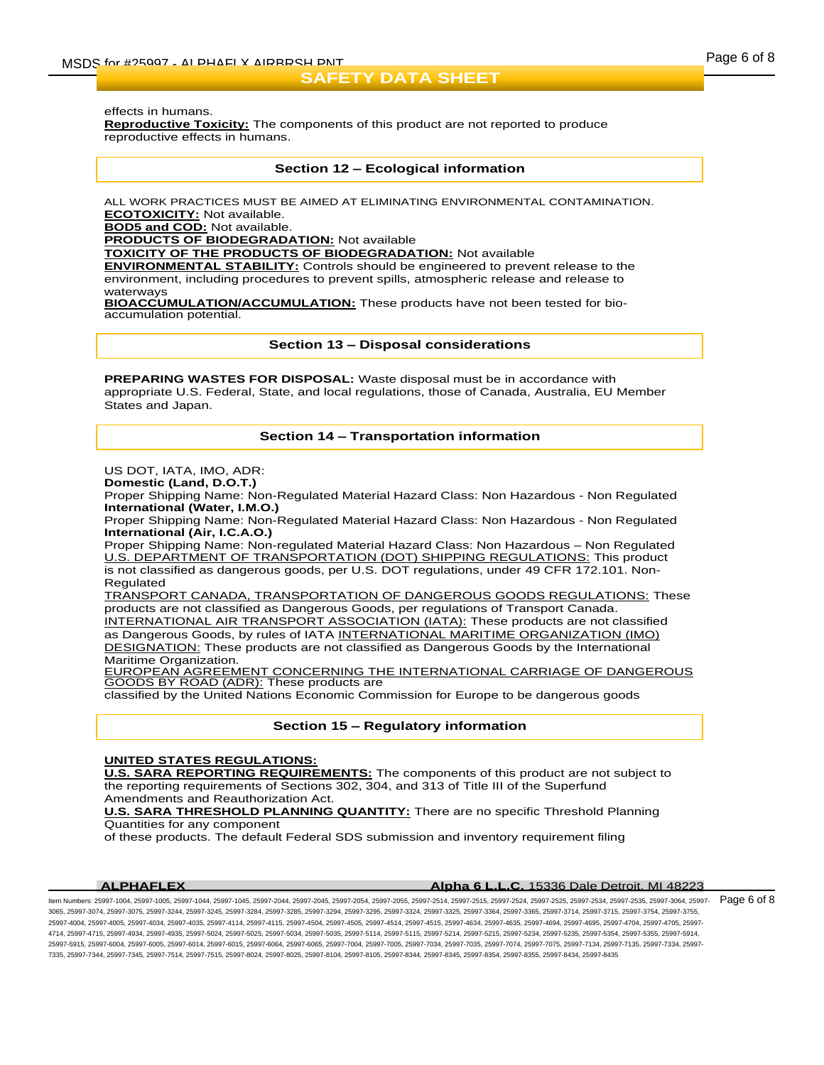effects in humans.

**Reproductive Toxicity:** The components of this product are not reported to produce reproductive effects in humans.

#### **Section 12 – Ecological information**

ALL WORK PRACTICES MUST BE AIMED AT ELIMINATING ENVIRONMENTAL CONTAMINATION. **ECOTOXICITY:** Not available.

**BOD5 and COD:** Not available.

**PRODUCTS OF BIODEGRADATION:** Not available

**TOXICITY OF THE PRODUCTS OF BIODEGRADATION:** Not available

**ENVIRONMENTAL STABILITY:** Controls should be engineered to prevent release to the environment, including procedures to prevent spills, atmospheric release and release to waterways

**BIOACCUMULATION/ACCUMULATION:** These products have not been tested for bioaccumulation potential.

**Section 13 – Disposal considerations**

**PREPARING WASTES FOR DISPOSAL:** Waste disposal must be in accordance with appropriate U.S. Federal, State, and local regulations, those of Canada, Australia, EU Member States and Japan.

### **Section 14 – Transportation information**

US DOT, IATA, IMO, ADR:

**Domestic (Land, D.O.T.)**

Proper Shipping Name: Non-Regulated Material Hazard Class: Non Hazardous - Non Regulated **International (Water, I.M.O.)**

Proper Shipping Name: Non-Regulated Material Hazard Class: Non Hazardous - Non Regulated **International (Air, I.C.A.O.)**

Proper Shipping Name: Non-regulated Material Hazard Class: Non Hazardous – Non Regulated U.S. DEPARTMENT OF TRANSPORTATION (DOT) SHIPPING REGULATIONS: This product is not classified as dangerous goods, per U.S. DOT regulations, under 49 CFR 172.101. Non-Regulated

TRANSPORT CANADA, TRANSPORTATION OF DANGEROUS GOODS REGULATIONS: These products are not classified as Dangerous Goods, per regulations of Transport Canada. INTERNATIONAL AIR TRANSPORT ASSOCIATION (IATA): These products are not classified as Dangerous Goods, by rules of IATA INTERNATIONAL MARITIME ORGANIZATION (IMO) DESIGNATION: These products are not classified as Dangerous Goods by the International Maritime Organization.

EUROPEAN AGREEMENT CONCERNING THE INTERNATIONAL CARRIAGE OF DANGEROUS GOODS BY ROAD (ADR): These products are

classified by the United Nations Economic Commission for Europe to be dangerous goods

#### **Section 15 – Regulatory information**

#### **UNITED STATES REGULATIONS:**

**U.S. SARA REPORTING REQUIREMENTS:** The components of this product are not subject to the reporting requirements of Sections 302, 304, and 313 of Title III of the Superfund Amendments and Reauthorization Act.

**U.S. SARA THRESHOLD PLANNING QUANTITY:** There are no specific Threshold Planning Quantities for any component

of these products. The default Federal SDS submission and inventory requirement filing

#### **ALPHAFLEX Alpha 6 L.L.C.** 15336 Dale Detroit, MI 48223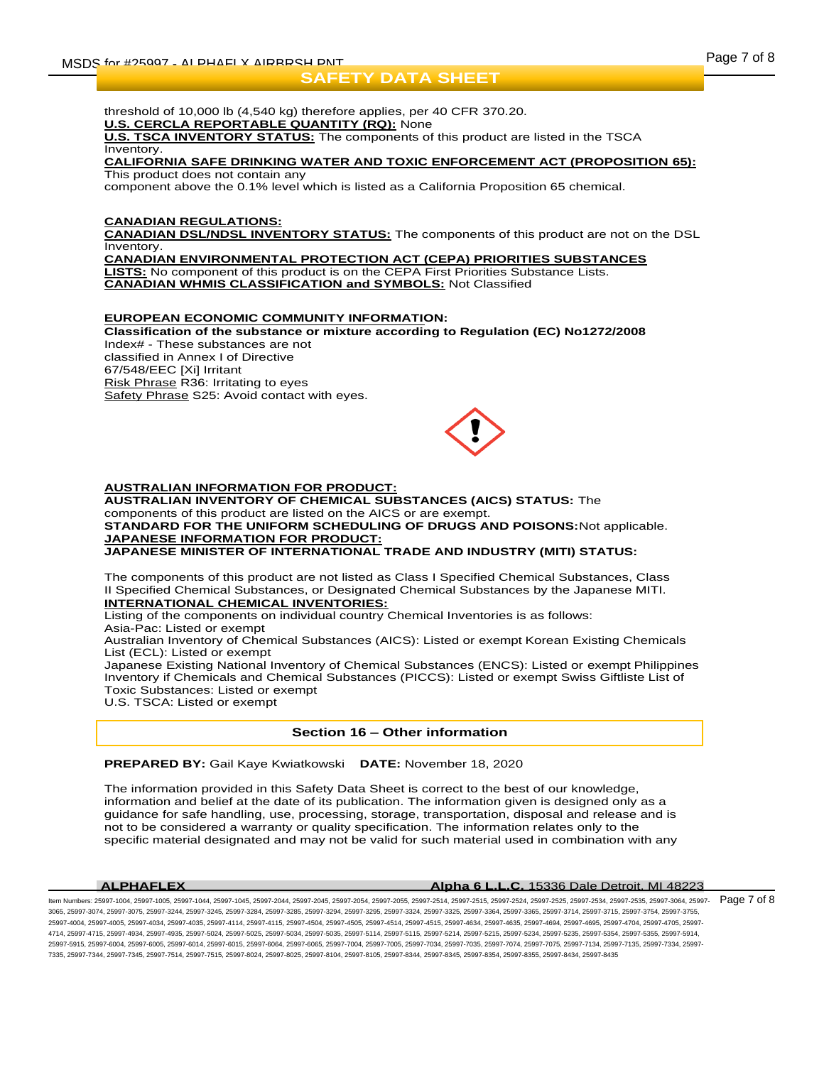threshold of 10,000 lb (4,540 kg) therefore applies, per 40 CFR 370.20. **U.S. CERCLA REPORTABLE QUANTITY (RQ):** None

**U.S. TSCA INVENTORY STATUS:** The components of this product are listed in the TSCA **Inventory** 

#### **CALIFORNIA SAFE DRINKING WATER AND TOXIC ENFORCEMENT ACT (PROPOSITION 65):** This product does not contain any

component above the 0.1% level which is listed as a California Proposition 65 chemical.

### **CANADIAN REGULATIONS:**

**CANADIAN DSL/NDSL INVENTORY STATUS:** The components of this product are not on the DSL Inventory.

**CANADIAN ENVIRONMENTAL PROTECTION ACT (CEPA) PRIORITIES SUBSTANCES LISTS:** No component of this product is on the CEPA First Priorities Substance Lists. **CANADIAN WHMIS CLASSIFICATION and SYMBOLS:** Not Classified

#### **EUROPEAN ECONOMIC COMMUNITY INFORMATION:**

**Classification of the substance or mixture according to Regulation (EC) No1272/2008** Index# - These substances are not classified in Annex I of Directive 67/548/EEC [Xi] Irritant Risk Phrase R36: Irritating to eyes Safety Phrase S25: Avoid contact with eyes.



### **AUSTRALIAN INFORMATION FOR PRODUCT:**

**AUSTRALIAN INVENTORY OF CHEMICAL SUBSTANCES (AICS) STATUS:** The components of this product are listed on the AICS or are exempt. **STANDARD FOR THE UNIFORM SCHEDULING OF DRUGS AND POISONS:**Not applicable. **JAPANESE INFORMATION FOR PRODUCT: JAPANESE MINISTER OF INTERNATIONAL TRADE AND INDUSTRY (MITI) STATUS:**

The components of this product are not listed as Class I Specified Chemical Substances, Class II Specified Chemical Substances, or Designated Chemical Substances by the Japanese MITI. **INTERNATIONAL CHEMICAL INVENTORIES:**

Listing of the components on individual country Chemical Inventories is as follows:

Asia-Pac: Listed or exempt

Australian Inventory of Chemical Substances (AICS): Listed or exempt Korean Existing Chemicals List (ECL): Listed or exempt

Japanese Existing National Inventory of Chemical Substances (ENCS): Listed or exempt Philippines Inventory if Chemicals and Chemical Substances (PICCS): Listed or exempt Swiss Giftliste List of Toxic Substances: Listed or exempt

U.S. TSCA: Listed or exempt

#### **Section 16 – Other information**

**PREPARED BY:** Gail Kaye Kwiatkowski **DATE:** November 18, 2020

The information provided in this Safety Data Sheet is correct to the best of our knowledge, information and belief at the date of its publication. The information given is designed only as a guidance for safe handling, use, processing, storage, transportation, disposal and release and is not to be considered a warranty or quality specification. The information relates only to the specific material designated and may not be valid for such material used in combination with any

#### **ALPHAFLEX Alpha 6 L.L.C.** 15336 Dale Detroit, MI 48223